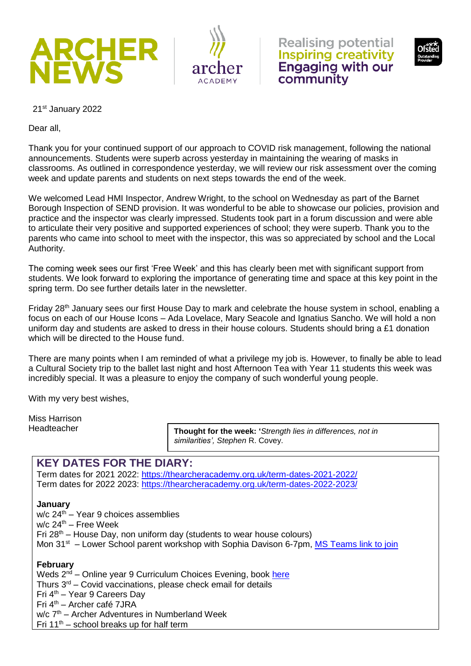







21st January 2022

Dear all,

Thank you for your continued support of our approach to COVID risk management, following the national announcements. Students were superb across yesterday in maintaining the wearing of masks in classrooms. As outlined in correspondence yesterday, we will review our risk assessment over the coming week and update parents and students on next steps towards the end of the week.

We welcomed Lead HMI Inspector, Andrew Wright, to the school on Wednesday as part of the Barnet Borough Inspection of SEND provision. It was wonderful to be able to showcase our policies, provision and practice and the inspector was clearly impressed. Students took part in a forum discussion and were able to articulate their very positive and supported experiences of school; they were superb. Thank you to the parents who came into school to meet with the inspector, this was so appreciated by school and the Local Authority.

The coming week sees our first 'Free Week' and this has clearly been met with significant support from students. We look forward to exploring the importance of generating time and space at this key point in the spring term. Do see further details later in the newsletter.

Friday 28<sup>th</sup> January sees our first House Day to mark and celebrate the house system in school, enabling a focus on each of our House Icons – Ada Lovelace, Mary Seacole and Ignatius Sancho. We will hold a non uniform day and students are asked to dress in their house colours. Students should bring a £1 donation which will be directed to the House fund.

There are many points when I am reminded of what a privilege my job is. However, to finally be able to lead a Cultural Society trip to the ballet last night and host Afternoon Tea with Year 11 students this week was incredibly special. It was a pleasure to enjoy the company of such wonderful young people.

With my very best wishes,

Miss Harrison Headteacher

**Thought for the week: '***Strength lies in differences, not in similarities', Stephen* R. Covey.

# **KEY DATES FOR THE DIARY:**

Term dates for 2021 2022:<https://thearcheracademy.org.uk/term-dates-2021-2022/> Term dates for 2022 2023:<https://thearcheracademy.org.uk/term-dates-2022-2023/>

### **January**

 $w/c$  24<sup>th</sup> – Year 9 choices assemblies  $w/c$  24<sup>th</sup> – Free Week Fri  $28<sup>th</sup>$  – House Day, non uniform day (students to wear house colours) Mon 31<sup>st</sup> – Lower School parent workshop with Sophia Davison 6-7pm, [MS Teams link to join](https://teams.microsoft.com/l/meetup-join/19%3ameeting_NjU3M2EyNWMtYTI3NC00N2YyLThiODktZDdjNDNkNTRkY2U1%40thread.v2/0?context=%7b%22Tid%22%3a%22d919d3da-48a4-416b-8b1c-5abc87f9e819%22%2c%22Oid%22%3a%228834cb90-77bd-42c2-ab3a-d3e791022e01%22%2c%22IsBroadcastMeeting%22%3atrue%7d&btype=a&role=a)

### **February**

Weds  $2^{n\bar{d}}$  – Online year 9 Curriculum Choices Evening, book [here](https://www.eventbrite.co.uk/e/year-9-curriculum-choices-evening-tickets-249211176337)

Thurs  $3<sup>rd</sup>$  – Covid vaccinations, please check email for details

Fri 4th – Year 9 Careers Day

Fri 4th – Archer café 7JRA

 $w/c$   $7<sup>th</sup>$  – Archer Adventures in Numberland Week

Fri  $11<sup>th</sup>$  – school breaks up for half term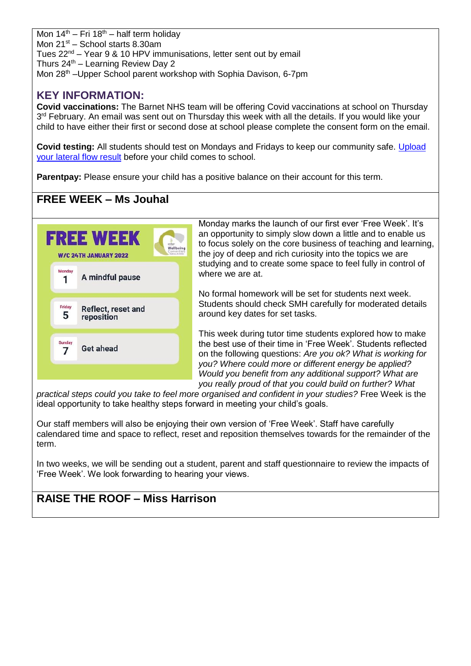Mon  $14<sup>th</sup> - Fri 18<sup>th</sup> - half term holidav$ Mon  $21^{st}$  – School starts 8.30am Tues 22nd – Year 9 & 10 HPV immunisations, letter sent out by email Thurs  $24<sup>th</sup>$  – Learning Review Day 2 Mon 28<sup>th</sup> –Upper School parent workshop with Sophia Davison, 6-7pm

# **KEY INFORMATION:**

**Covid vaccinations:** The Barnet NHS team will be offering Covid vaccinations at school on Thursday 3<sup>rd</sup> February. An email was sent out on Thursday this week with all the details. If you would like your child to have either their first or second dose at school please complete the consent form on the email.

**Covid testing:** All students should test on Mondays and Fridays to keep our community safe. [Upload](https://forms.office.com/r/smZTBhkxXm)  [your lateral flow result](https://forms.office.com/r/smZTBhkxXm) before your child comes to school.

**Parentpay:** Please ensure your child has a positive balance on their account for this term.

# **FREE WEEK – Ms Jouhal**



Monday marks the launch of our first ever 'Free Week'. It's an opportunity to simply slow down a little and to enable us to focus solely on the core business of teaching and learning, the joy of deep and rich curiosity into the topics we are studying and to create some space to feel fully in control of where we are at.

No formal homework will be set for students next week. Students should check SMH carefully for moderated details around key dates for set tasks.

This week during tutor time students explored how to make the best use of their time in 'Free Week'. Students reflected on the following questions: *Are you ok? What is working for you? Where could more or different energy be applied? Would you benefit from any additional support? What are you really proud of that you could build on further? What* 

*practical steps could you take to feel more organised and confident in your studies?* Free Week is the ideal opportunity to take healthy steps forward in meeting your child's goals.

Our staff members will also be enjoying their own version of 'Free Week'. Staff have carefully calendared time and space to reflect, reset and reposition themselves towards for the remainder of the term.

In two weeks, we will be sending out a student, parent and staff questionnaire to review the impacts of 'Free Week'. We look forwarding to hearing your views.

# **RAISE THE ROOF – Miss Harrison**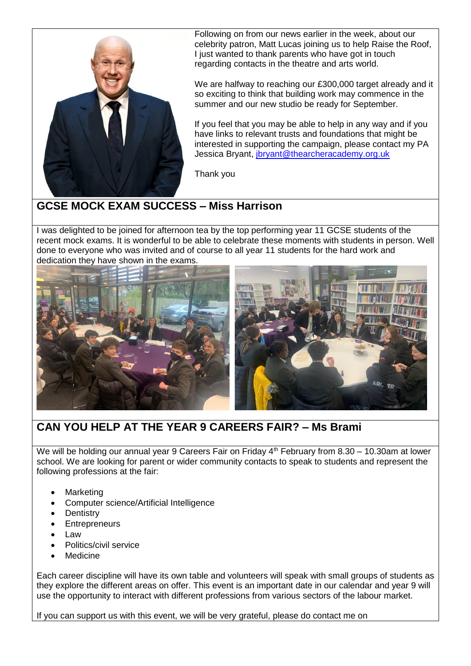

Following on from our news earlier in the week, about our celebrity patron, Matt Lucas joining us to help Raise the Roof, I just wanted to thank parents who have got in touch regarding contacts in the theatre and arts world.

We are halfway to reaching our £300,000 target already and it so exciting to think that building work may commence in the summer and our new studio be ready for September.

If you feel that you may be able to help in any way and if you have links to relevant trusts and foundations that might be interested in supporting the campaign, please contact my PA Jessica Bryant, [jbryant@thearcheracademy.org.uk](mailto:jbryant@thearcheracademy.org.uk)

Thank you

# **GCSE MOCK EXAM SUCCESS – Miss Harrison**

I was delighted to be joined for afternoon tea by the top performing year 11 GCSE students of the recent mock exams. It is wonderful to be able to celebrate these moments with students in person. Well done to everyone who was invited and of course to all year 11 students for the hard work and dedication they have shown in the exams.



# **CAN YOU HELP AT THE YEAR 9 CAREERS FAIR? – Ms Brami**

We will be holding our annual year 9 Careers Fair on Friday  $4<sup>th</sup>$  February from 8.30 – 10.30am at lower school. We are looking for parent or wider community contacts to speak to students and represent the following professions at the fair:

- **Marketing**
- Computer science/Artificial Intelligence
- **Dentistry**
- **Entrepreneurs**
- Law
- Politics/civil service
- Medicine

Each career discipline will have its own table and volunteers will speak with small groups of students as they explore the different areas on offer. This event is an important date in our calendar and year 9 will use the opportunity to interact with different professions from various sectors of the labour market.

If you can support us with this event, we will be very grateful, please do contact me on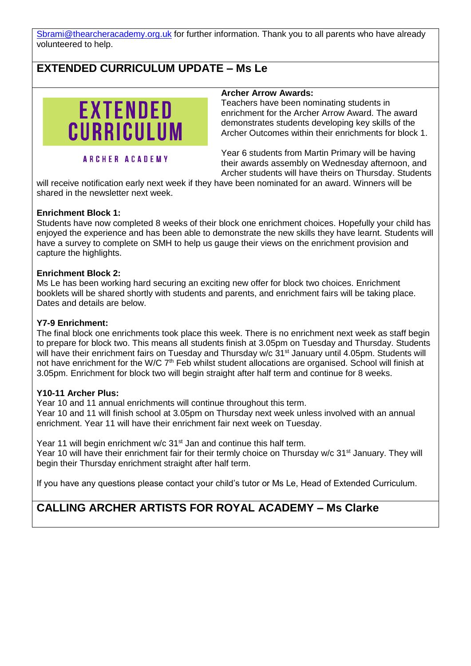[Sbrami@thearcheracademy.org.uk](mailto:Sbrami@thearcheracademy.org.uk) for further information. Thank you to all parents who have already volunteered to help.

# **EXTENDED CURRICULUM UPDATE – Ms Le**



**ARCHER ACADEMY** 

#### **Archer Arrow Awards:**

Teachers have been nominating students in enrichment for the Archer Arrow Award. The award demonstrates students developing key skills of the Archer Outcomes within their enrichments for block 1.

Year 6 students from Martin Primary will be having their awards assembly on Wednesday afternoon, and Archer students will have theirs on Thursday. Students

will receive notification early next week if they have been nominated for an award. Winners will be shared in the newsletter next week.

#### **Enrichment Block 1:**

Students have now completed 8 weeks of their block one enrichment choices. Hopefully your child has enjoyed the experience and has been able to demonstrate the new skills they have learnt. Students will have a survey to complete on SMH to help us gauge their views on the enrichment provision and capture the highlights.

### **Enrichment Block 2:**

Ms Le has been working hard securing an exciting new offer for block two choices. Enrichment booklets will be shared shortly with students and parents, and enrichment fairs will be taking place. Dates and details are below.

### **Y7-9 Enrichment:**

The final block one enrichments took place this week. There is no enrichment next week as staff begin to prepare for block two. This means all students finish at 3.05pm on Tuesday and Thursday. Students will have their enrichment fairs on Tuesday and Thursday w/c 31<sup>st</sup> January until 4.05pm. Students will not have enrichment for the W/C 7<sup>th</sup> Feb whilst student allocations are organised. School will finish at 3.05pm. Enrichment for block two will begin straight after half term and continue for 8 weeks.

### **Y10-11 Archer Plus:**

Year 10 and 11 annual enrichments will continue throughout this term. Year 10 and 11 will finish school at 3.05pm on Thursday next week unless involved with an annual enrichment. Year 11 will have their enrichment fair next week on Tuesday.

Year 11 will begin enrichment w/c 31<sup>st</sup> Jan and continue this half term. Year 10 will have their enrichment fair for their termly choice on Thursday w/c 31<sup>st</sup> January. They will begin their Thursday enrichment straight after half term.

If you have any questions please contact your child's tutor or Ms Le, Head of Extended Curriculum.

# **CALLING ARCHER ARTISTS FOR ROYAL ACADEMY – Ms Clarke**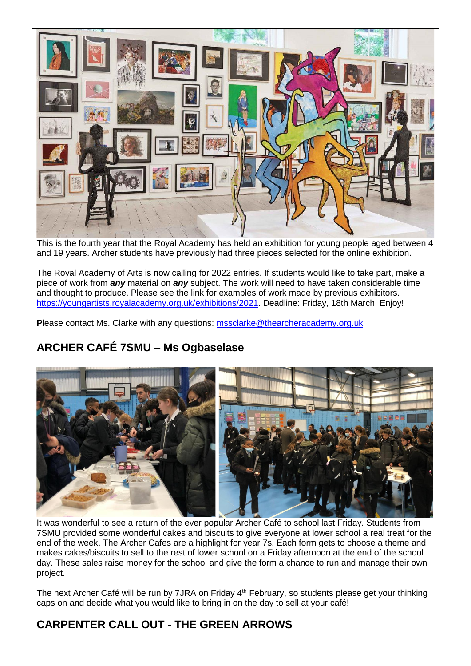

This is the fourth year that the Royal Academy has held an exhibition for young people aged between 4 and 19 years. Archer students have previously had three pieces selected for the online exhibition.

The Royal Academy of Arts is now calling for 2022 entries. If students would like to take part, make a piece of work from *any* material on *any* subject. The work will need to have taken considerable time and thought to produce. Please see the link for examples of work made by previous exhibitors. [https://youngartists.royalacademy.org.uk/exhibitions/2021.](https://youngartists.royalacademy.org.uk/exhibitions/2021) Deadline: Friday, 18th March. Enjoy!

**P**lease contact Ms. Clarke with any questions: [mssclarke@thearcheracademy.org.uk](mailto:mssclarke@thearcheracademy.org.uk)

# **ARCHER CAFÉ 7SMU – Ms Ogbaselase**



It was wonderful to see a return of the ever popular Archer Café to school last Friday. Students from 7SMU provided some wonderful cakes and biscuits to give everyone at lower school a real treat for the end of the week. The Archer Cafes are a highlight for year 7s. Each form gets to choose a theme and makes cakes/biscuits to sell to the rest of lower school on a Friday afternoon at the end of the school day. These sales raise money for the school and give the form a chance to run and manage their own project.

The next Archer Café will be run by 7JRA on Friday 4<sup>th</sup> February, so students please get your thinking caps on and decide what you would like to bring in on the day to sell at your café!

# **CARPENTER CALL OUT - THE GREEN ARROWS**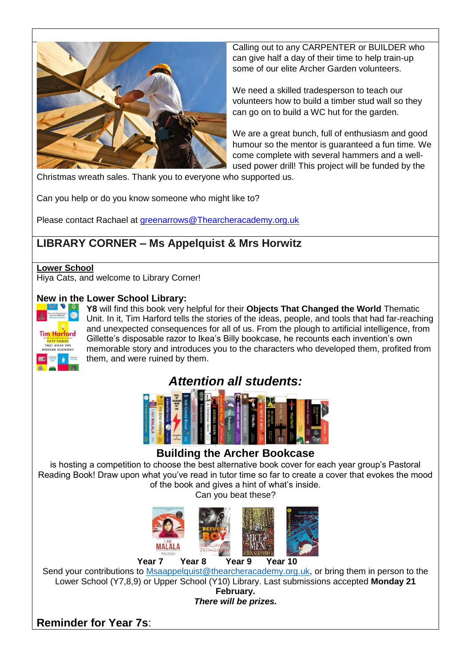

Calling out to any CARPENTER or BUILDER who can give half a day of their time to help train-up some of our elite Archer Garden volunteers.

We need a skilled tradesperson to teach our volunteers how to build a timber stud wall so they can go on to build a WC hut for the garden.

We are a great bunch, full of enthusiasm and good humour so the mentor is guaranteed a fun time. We come complete with several hammers and a wellused power drill! This project will be funded by the

Christmas wreath sales. Thank you to everyone who supported us.

Can you help or do you know someone who might like to?

Please contact Rachael at [greenarrows@Thearcheracademy.org.uk](mailto:greenarrows@Thearcheracademy.org.uk)

# **LIBRARY CORNER – Ms Appelquist & Mrs Horwitz**

#### **Lower School**

Hiya Cats, and welcome to Library Corner!

### **New in the Lower School Library:**



**Y8** will find this book very helpful for their **Objects That Changed the World** Thematic Unit. In it, Tim Harford tells the stories of the ideas, people, and tools that had far-reaching and unexpected consequences for all of us. From the plough to artificial intelligence, from Gillette's disposable razor to Ikea's Billy bookcase, he recounts each invention's own memorable story and introduces you to the characters who developed them, profited from them, and were ruined by them.



## **Building the Archer Bookcase**

is hosting a competition to choose the best alternative book cover for each year group's Pastoral Reading Book! Draw upon what you've read in tutor time so far to create a cover that evokes the mood of the book and gives a hint of what's inside.

Can you beat these?



Send your contributions to [Msaappelquist@thearcheracademy.org.uk,](mailto:Msaappelquist@thearcheracademy.org.uk) or bring them in person to the Lower School (Y7,8,9) or Upper School (Y10) Library. Last submissions accepted **Monday 21 February.**

*There will be prizes.*

**Reminder for Year 7s**: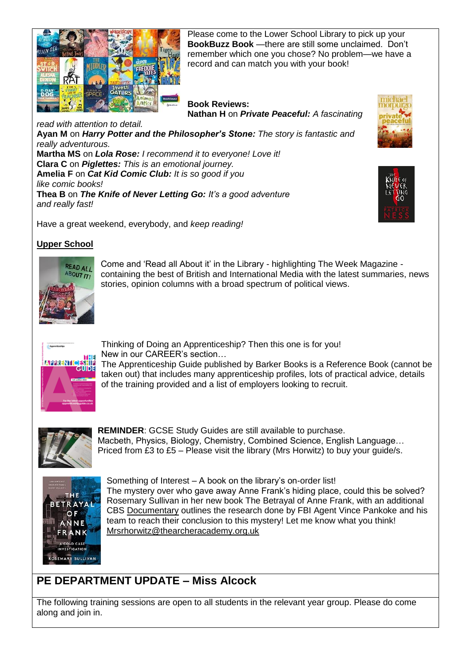

Please come to the Lower School Library to pick up your **BookBuzz Book** —there are still some unclaimed. Don't remember which one you chose? No problem—we have a record and can match you with your book!

#### **Book Reviews: Nathan H** on *Private Peaceful: A fascinating*

*read with attention to detail.* **Ayan M** on *Harry Potter and the Philosopher's Stone: The story is fantastic and really adventurous.* **Martha MS** on *Lola Rose: I recommend it to everyone! Love it!* **Clara C** on *Piglettes: This is an emotional journey.* **Amelia F** on *Cat Kid Comic Club: It is so good if you like comic books!* **Thea B** on *The Knife of Never Letting Go: It's a good adventure and really fast!*





Have a great weekend, everybody, and *keep reading!*

### **Upper School**



Come and 'Read all About it' in the Library - highlighting The Week Magazine containing the best of British and International Media with the latest summaries, news stories, opinion columns with a broad spectrum of political views.



Thinking of Doing an Apprenticeship? Then this one is for you! New in our CAREER's section…

The Apprenticeship Guide published by Barker Books is a Reference Book (cannot be taken out) that includes many apprenticeship profiles, lots of practical advice, details of the training provided and a list of employers looking to recruit.



**REMINDER**: GCSE Study Guides are still available to purchase. Macbeth, Physics, Biology, Chemistry, Combined Science, English Language… Priced from £3 to £5 – Please visit the library (Mrs Horwitz) to buy your guide/s.



Something of Interest – A book on the library's on-order list! The mystery over who gave away Anne Frank's hiding place, could this be solved? Rosemary Sullivan in her new book The Betrayal of Anne Frank, with an additional CBS [Documentary](https://www.cbsnews.com/news/anne-frank-betrayal-investigation-60-minutes-2022-01-16/?utm_source=Sailthru&utm_medium=email&utm_campaign=Today%20in%20Books%20011722&utm_term=BookRiot_TodayInBooks_DormantSuppress) outlines the research done by FBI Agent Vince Pankoke and his team to reach their conclusion to this mystery! Let me know what you think! [Mrsrhorwitz@thearcheracademy.org.uk](mailto:Mrsrhorwitz@thearcheracademy.org.uk)

# **PE DEPARTMENT UPDATE – Miss Alcock**

The following training sessions are open to all students in the relevant year group. Please do come along and join in.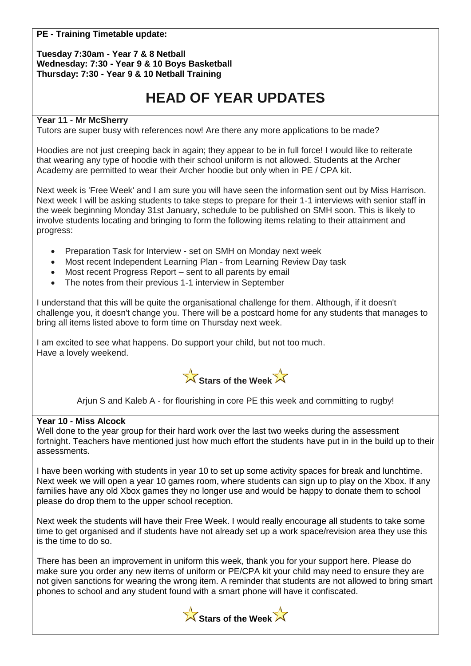### **PE - Training Timetable update:**

#### **Tuesday 7:30am - Year 7 & 8 Netball Wednesday: 7:30 - Year 9 & 10 Boys Basketball Thursday: 7:30 - Year 9 & 10 Netball Training**

# **HEAD OF YEAR UPDATES**

### **Year 11 - Mr McSherry**

Tutors are super busy with references now! Are there any more applications to be made?

Hoodies are not just creeping back in again; they appear to be in full force! I would like to reiterate that wearing any type of hoodie with their school uniform is not allowed. Students at the Archer Academy are permitted to wear their Archer hoodie but only when in PE / CPA kit.

Next week is 'Free Week' and I am sure you will have seen the information sent out by Miss Harrison. Next week I will be asking students to take steps to prepare for their 1-1 interviews with senior staff in the week beginning Monday 31st January, schedule to be published on SMH soon. This is likely to involve students locating and bringing to form the following items relating to their attainment and progress:

- Preparation Task for Interview set on SMH on Monday next week
- Most recent Independent Learning Plan from Learning Review Day task
- Most recent Progress Report sent to all parents by email
- The notes from their previous 1-1 interview in September

I understand that this will be quite the organisational challenge for them. Although, if it doesn't challenge you, it doesn't change you. There will be a postcard home for any students that manages to bring all items listed above to form time on Thursday next week.

I am excited to see what happens. Do support your child, but not too much. Have a lovely weekend.



Arjun S and Kaleb A - for flourishing in core PE this week and committing to rugby!

#### **Year 10 - Miss Alcock**

Well done to the year group for their hard work over the last two weeks during the assessment fortnight. Teachers have mentioned just how much effort the students have put in in the build up to their assessments.

I have been working with students in year 10 to set up some activity spaces for break and lunchtime. Next week we will open a year 10 games room, where students can sign up to play on the Xbox. If any families have any old Xbox games they no longer use and would be happy to donate them to school please do drop them to the upper school reception.

Next week the students will have their Free Week. I would really encourage all students to take some time to get organised and if students have not already set up a work space/revision area they use this is the time to do so.

There has been an improvement in uniform this week, thank you for your support here. Please do make sure you order any new items of uniform or PE/CPA kit your child may need to ensure they are not given sanctions for wearing the wrong item. A reminder that students are not allowed to bring smart phones to school and any student found with a smart phone will have it confiscated.

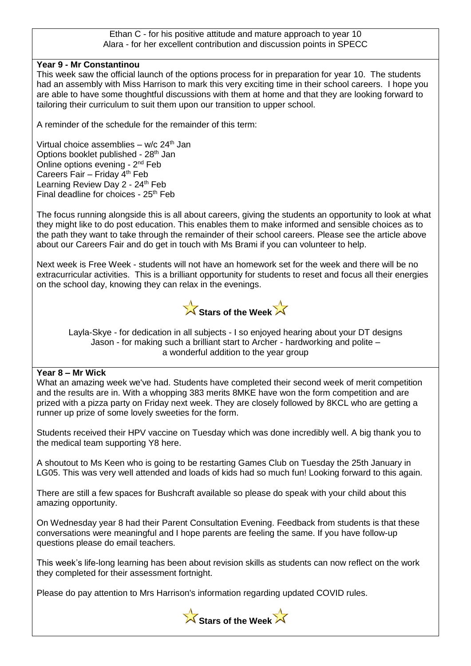#### Ethan C - for his positive attitude and mature approach to year 10 Alara - for her excellent contribution and discussion points in SPECC

### **Year 9 - Mr Constantinou**

This week saw the official launch of the options process for in preparation for year 10. The students had an assembly with Miss Harrison to mark this very exciting time in their school careers. I hope you are able to have some thoughtful discussions with them at home and that they are looking forward to tailoring their curriculum to suit them upon our transition to upper school.

A reminder of the schedule for the remainder of this term:

Virtual choice assemblies –  $w/c$  24<sup>th</sup> Jan Options booklet published - 28<sup>th</sup> Jan Online options evening - 2<sup>nd</sup> Feb Careers Fair – Friday  $4<sup>th</sup>$  Feb Learning Review Day 2 - 24<sup>th</sup> Feb Final deadline for choices - 25<sup>th</sup> Feb

The focus running alongside this is all about careers, giving the students an opportunity to look at what they might like to do post education. This enables them to make informed and sensible choices as to the path they want to take through the remainder of their school careers. Please see the article above about our Careers Fair and do get in touch with Ms Brami if you can volunteer to help.

Next week is Free Week - students will not have an homework set for the week and there will be no extracurricular activities. This is a brilliant opportunity for students to reset and focus all their energies on the school day, knowing they can relax in the evenings.



Layla-Skye - for dedication in all subjects - I so enjoyed hearing about your DT designs Jason - for making such a brilliant start to Archer - hardworking and polite – a wonderful addition to the year group

### **Year 8 – Mr Wick**

What an amazing week we've had. Students have completed their second week of merit competition and the results are in. With a whopping 383 merits 8MKE have won the form competition and are prized with a pizza party on Friday next week. They are closely followed by 8KCL who are getting a runner up prize of some lovely sweeties for the form.

Students received their HPV vaccine on Tuesday which was done incredibly well. A big thank you to the medical team supporting Y8 here.

A shoutout to Ms Keen who is going to be restarting Games Club on Tuesday the 25th January in LG05. This was very well attended and loads of kids had so much fun! Looking forward to this again.

There are still a few spaces for Bushcraft available so please do speak with your child about this amazing opportunity.

On Wednesday year 8 had their Parent Consultation Evening. Feedback from students is that these conversations were meaningful and I hope parents are feeling the same. If you have follow-up questions please do email teachers.

This week's life-long learning has been about revision skills as students can now reflect on the work they completed for their assessment fortnight.

Please do pay attention to Mrs Harrison's information regarding updated COVID rules.